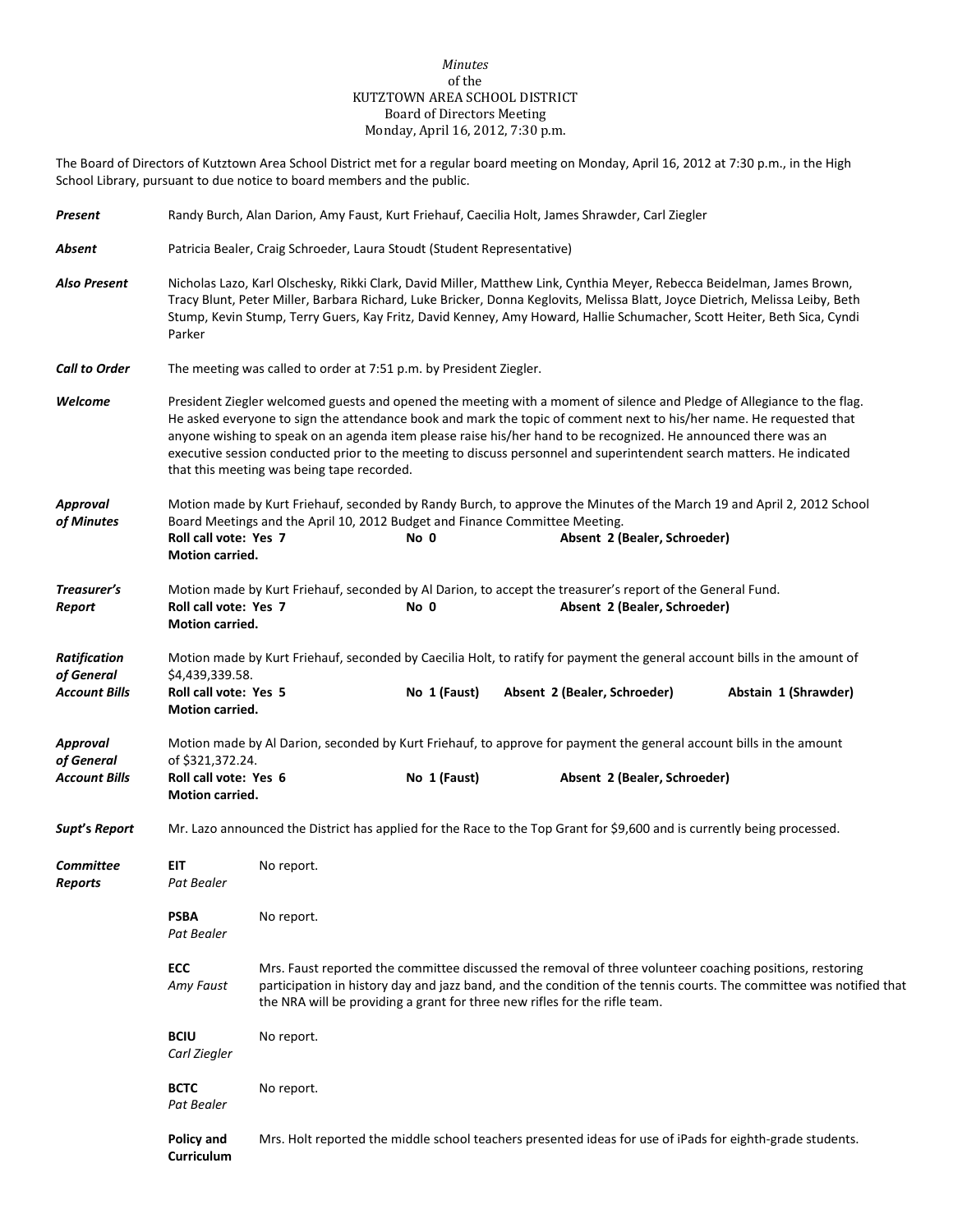## *Minutes* of the KUTZTOWN AREA SCHOOL DISTRICT Board of Directors Meeting Monday, April 16, 2012, 7:30 p.m.

The Board of Directors of Kutztown Area School District met for a regular board meeting on Monday, April 16, 2012 at 7:30 p.m., in the High School Library, pursuant to due notice to board members and the public.

| <b>Present</b>                                            | Randy Burch, Alan Darion, Amy Faust, Kurt Friehauf, Caecilia Holt, James Shrawder, Carl Ziegler                                                                                                                                                                                                                                                                                                                                                                                                                                          |                                                                                                                                                                                                                                                                                                               |                                                                                                                                                                                                               |  |                              |  |  |  |
|-----------------------------------------------------------|------------------------------------------------------------------------------------------------------------------------------------------------------------------------------------------------------------------------------------------------------------------------------------------------------------------------------------------------------------------------------------------------------------------------------------------------------------------------------------------------------------------------------------------|---------------------------------------------------------------------------------------------------------------------------------------------------------------------------------------------------------------------------------------------------------------------------------------------------------------|---------------------------------------------------------------------------------------------------------------------------------------------------------------------------------------------------------------|--|------------------------------|--|--|--|
| Absent                                                    | Patricia Bealer, Craig Schroeder, Laura Stoudt (Student Representative)                                                                                                                                                                                                                                                                                                                                                                                                                                                                  |                                                                                                                                                                                                                                                                                                               |                                                                                                                                                                                                               |  |                              |  |  |  |
| <b>Also Present</b>                                       | Nicholas Lazo, Karl Olschesky, Rikki Clark, David Miller, Matthew Link, Cynthia Meyer, Rebecca Beidelman, James Brown,<br>Tracy Blunt, Peter Miller, Barbara Richard, Luke Bricker, Donna Keglovits, Melissa Blatt, Joyce Dietrich, Melissa Leiby, Beth<br>Stump, Kevin Stump, Terry Guers, Kay Fritz, David Kenney, Amy Howard, Hallie Schumacher, Scott Heiter, Beth Sica, Cyndi<br>Parker                                                                                                                                             |                                                                                                                                                                                                                                                                                                               |                                                                                                                                                                                                               |  |                              |  |  |  |
| <b>Call to Order</b>                                      | The meeting was called to order at 7:51 p.m. by President Ziegler.                                                                                                                                                                                                                                                                                                                                                                                                                                                                       |                                                                                                                                                                                                                                                                                                               |                                                                                                                                                                                                               |  |                              |  |  |  |
| Welcome                                                   | President Ziegler welcomed guests and opened the meeting with a moment of silence and Pledge of Allegiance to the flag.<br>He asked everyone to sign the attendance book and mark the topic of comment next to his/her name. He requested that<br>anyone wishing to speak on an agenda item please raise his/her hand to be recognized. He announced there was an<br>executive session conducted prior to the meeting to discuss personnel and superintendent search matters. He indicated<br>that this meeting was being tape recorded. |                                                                                                                                                                                                                                                                                                               |                                                                                                                                                                                                               |  |                              |  |  |  |
| Approval<br>of Minutes                                    | Roll call vote: Yes 7<br>Motion carried.                                                                                                                                                                                                                                                                                                                                                                                                                                                                                                 |                                                                                                                                                                                                                                                                                                               | Motion made by Kurt Friehauf, seconded by Randy Burch, to approve the Minutes of the March 19 and April 2, 2012 School<br>Board Meetings and the April 10, 2012 Budget and Finance Committee Meeting.<br>No 0 |  | Absent 2 (Bealer, Schroeder) |  |  |  |
| Treasurer's<br>Report                                     | Motion made by Kurt Friehauf, seconded by Al Darion, to accept the treasurer's report of the General Fund.<br>Roll call vote: Yes 7<br>No 0<br>Absent 2 (Bealer, Schroeder)<br>Motion carried.                                                                                                                                                                                                                                                                                                                                           |                                                                                                                                                                                                                                                                                                               |                                                                                                                                                                                                               |  |                              |  |  |  |
| <b>Ratification</b><br>of General<br><b>Account Bills</b> | Motion made by Kurt Friehauf, seconded by Caecilia Holt, to ratify for payment the general account bills in the amount of<br>\$4,439,339.58.<br>Roll call vote: Yes 5<br>No 1 (Faust)<br>Absent 2 (Bealer, Schroeder)<br>Abstain 1 (Shrawder)<br>Motion carried.                                                                                                                                                                                                                                                                         |                                                                                                                                                                                                                                                                                                               |                                                                                                                                                                                                               |  |                              |  |  |  |
| <b>Approval</b><br>of General<br><b>Account Bills</b>     | Motion made by Al Darion, seconded by Kurt Friehauf, to approve for payment the general account bills in the amount<br>of \$321,372.24.<br>Roll call vote: Yes 6<br>Motion carried.                                                                                                                                                                                                                                                                                                                                                      |                                                                                                                                                                                                                                                                                                               | No 1 (Faust)                                                                                                                                                                                                  |  | Absent 2 (Bealer, Schroeder) |  |  |  |
| Supt's Report                                             |                                                                                                                                                                                                                                                                                                                                                                                                                                                                                                                                          | Mr. Lazo announced the District has applied for the Race to the Top Grant for \$9,600 and is currently being processed.                                                                                                                                                                                       |                                                                                                                                                                                                               |  |                              |  |  |  |
| Committee<br><b>Reports</b>                               | EIT.<br>Pat Bealer                                                                                                                                                                                                                                                                                                                                                                                                                                                                                                                       | No report.                                                                                                                                                                                                                                                                                                    |                                                                                                                                                                                                               |  |                              |  |  |  |
|                                                           | <b>PSBA</b><br>Pat Bealer                                                                                                                                                                                                                                                                                                                                                                                                                                                                                                                | No report.                                                                                                                                                                                                                                                                                                    |                                                                                                                                                                                                               |  |                              |  |  |  |
|                                                           | ECC<br>Amy Faust                                                                                                                                                                                                                                                                                                                                                                                                                                                                                                                         | Mrs. Faust reported the committee discussed the removal of three volunteer coaching positions, restoring<br>participation in history day and jazz band, and the condition of the tennis courts. The committee was notified that<br>the NRA will be providing a grant for three new rifles for the rifle team. |                                                                                                                                                                                                               |  |                              |  |  |  |
|                                                           | <b>BCIU</b><br>Carl Ziegler                                                                                                                                                                                                                                                                                                                                                                                                                                                                                                              | No report.                                                                                                                                                                                                                                                                                                    |                                                                                                                                                                                                               |  |                              |  |  |  |
|                                                           | <b>BCTC</b><br><b>Pat Bealer</b>                                                                                                                                                                                                                                                                                                                                                                                                                                                                                                         | No report.                                                                                                                                                                                                                                                                                                    |                                                                                                                                                                                                               |  |                              |  |  |  |
|                                                           | Policy and<br>Curriculum                                                                                                                                                                                                                                                                                                                                                                                                                                                                                                                 | Mrs. Holt reported the middle school teachers presented ideas for use of iPads for eighth-grade students.                                                                                                                                                                                                     |                                                                                                                                                                                                               |  |                              |  |  |  |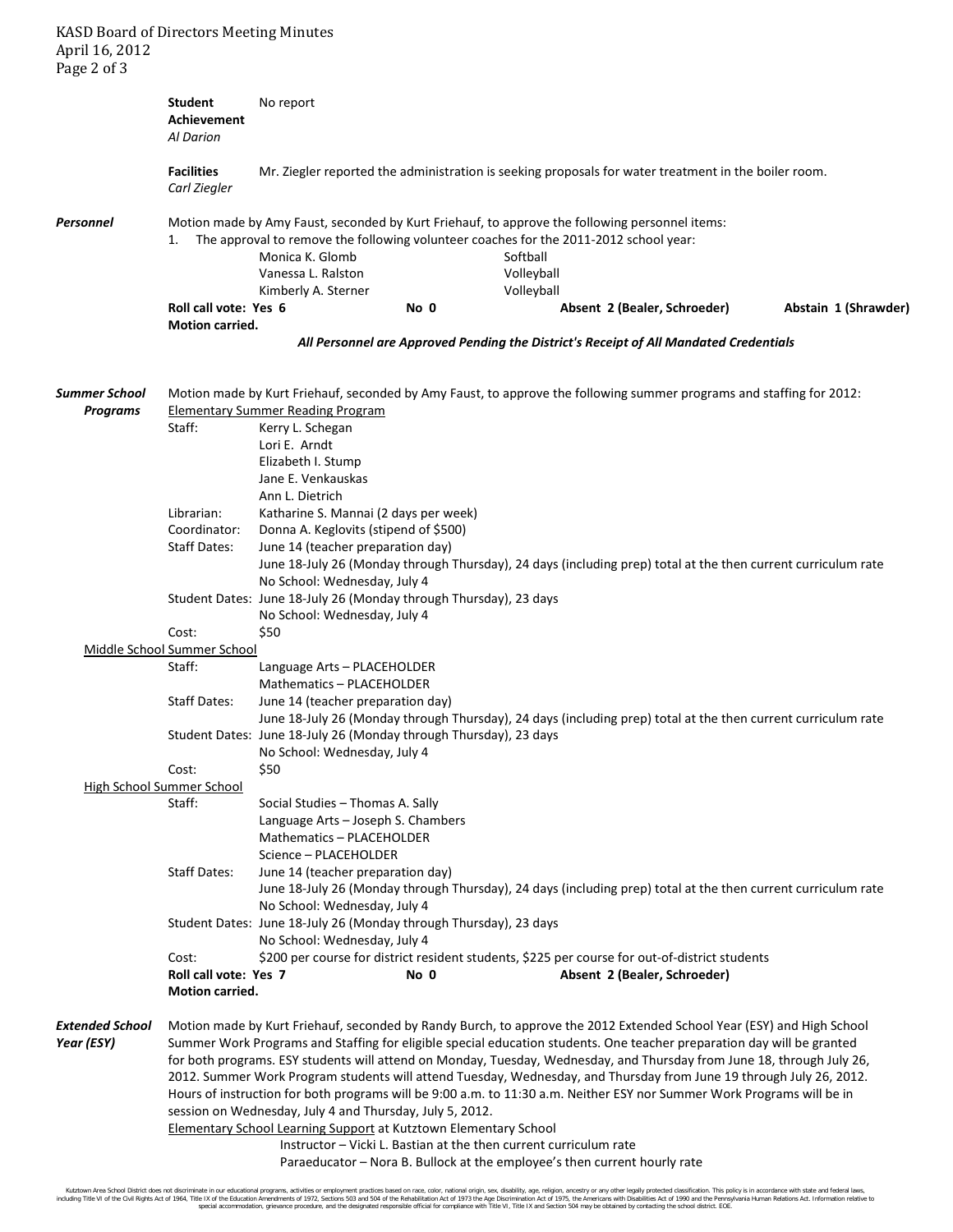KASD Board of Directors Meeting Minutes April 16, 2012 Page 2 of 3

**Student** No report **Achievement** *Al Darion* **Facilities** Mr. Ziegler reported the administration is seeking proposals for water treatment in the boiler room. *Carl Ziegler Personnel* Motion made by Amy Faust, seconded by Kurt Friehauf, to approve the following personnel items: 1. The approval to remove the following volunteer coaches for the 2011-2012 school year: Monica K. Glomb Softball Vanessa L. Ralston Volleyball Kimberly A. Sterner Volleyball **Roll call vote: Yes 6 No 0 Absent 2 (Bealer, Schroeder) Abstain 1 (Shrawder) Motion carried.** *All Personnel are Approved Pending the District's Receipt of All Mandated Credentials Summer School* Motion made by Kurt Friehauf, seconded by Amy Faust, to approve the following summer programs and staffing for 2012: *Programs* Elementary Summer Reading Program Staff: Kerry L. Schegan Lori E. Arndt Elizabeth I. Stump Jane E. Venkauskas Ann L. Dietrich Librarian: Katharine S. Mannai (2 days per week) Coordinator: Donna A. Keglovits (stipend of \$500) Staff Dates: June 14 (teacher preparation day) June 18-July 26 (Monday through Thursday), 24 days (including prep) total at the then current curriculum rate No School: Wednesday, July 4 Student Dates: June 18-July 26 (Monday through Thursday), 23 days No School: Wednesday, July 4 Cost: \$50 Middle School Summer School Staff: Language Arts – PLACEHOLDER Mathematics – PLACEHOLDER Staff Dates: June 14 (teacher preparation day) June 18-July 26 (Monday through Thursday), 24 days (including prep) total at the then current curriculum rate Student Dates: June 18-July 26 (Monday through Thursday), 23 days No School: Wednesday, July 4 Cost: \$50 High School Summer School Staff: Social Studies – Thomas A. Sally Language Arts – Joseph S. Chambers Mathematics – PLACEHOLDER Science – PLACEHOLDER Staff Dates: June 14 (teacher preparation day) June 18-July 26 (Monday through Thursday), 24 days (including prep) total at the then current curriculum rate No School: Wednesday, July 4 Student Dates: June 18-July 26 (Monday through Thursday), 23 days No School: Wednesday, July 4 Cost: \$200 per course for district resident students, \$225 per course for out-of-district students **Roll call vote: Yes 7 No 0 Absent 2 (Bealer, Schroeder) Motion carried.** *Extended School* Motion made by Kurt Friehauf, seconded by Randy Burch, to approve the 2012 Extended School Year (ESY) and High School Year (ESY) Summer Work Programs and Staffing for eligible special education students. One teacher preparation day will be granted for both programs. ESY students will attend on Monday, Tuesday, Wednesday, and Thursday from June 18, through July 26, 2012. Summer Work Program students will attend Tuesday, Wednesday, and Thursday from June 19 through July 26, 2012. Hours of instruction for both programs will be 9:00 a.m. to 11:30 a.m. Neither ESY nor Summer Work Programs will be in session on Wednesday, July 4 and Thursday, July 5, 2012. Elementary School Learning Support at Kutztown Elementary School Instructor – Vicki L. Bastian at the then current curriculum rate

Paraeducator – Nora B. Bullock at the employee's then current hourly rate